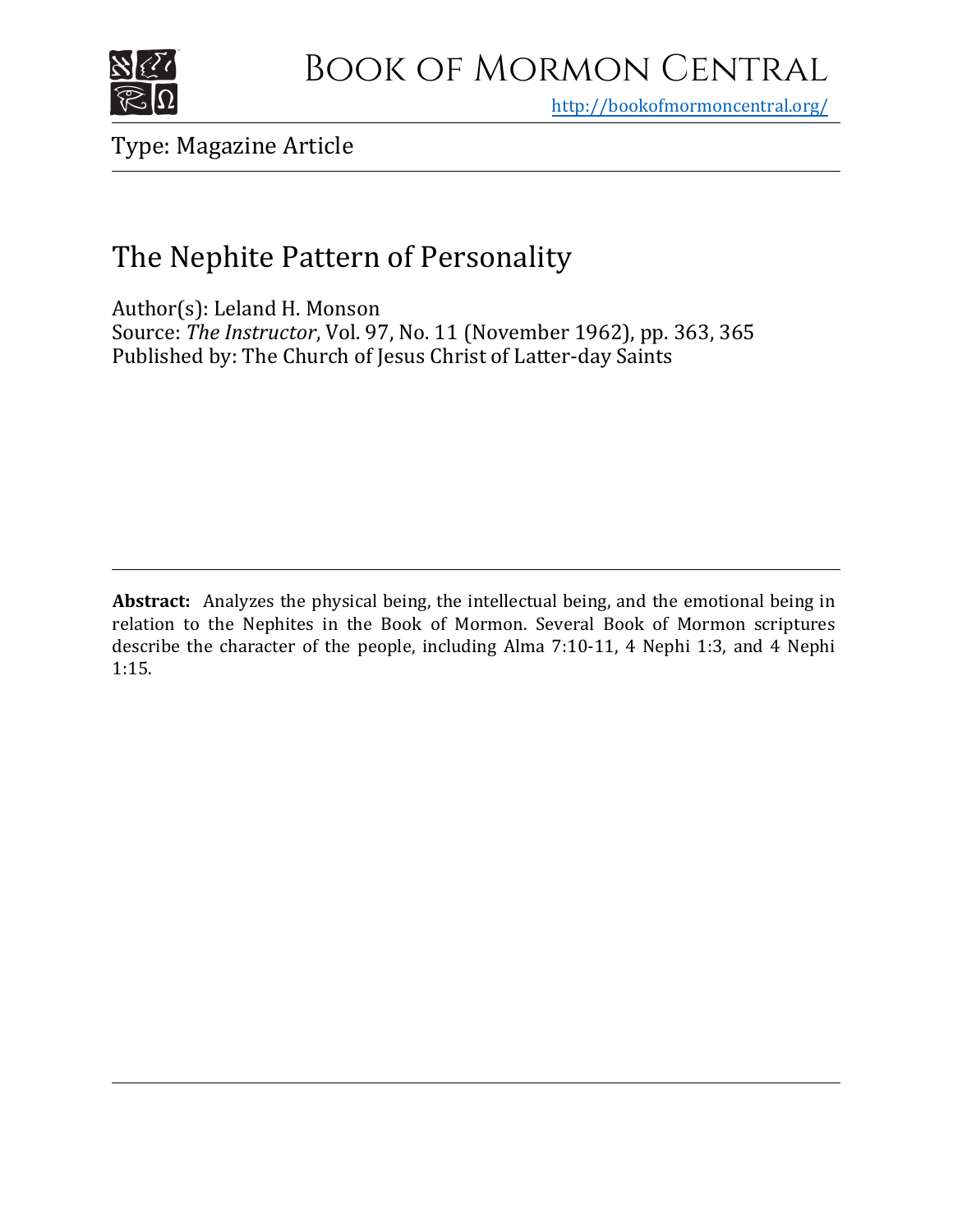

<http://bookofmormoncentral.org/>

Type: Magazine Article

## The Nephite Pattern of Personality

Author(s): Leland H. Monson Source: *The Instructor*, Vol. 97, No. 11 (November 1962), pp. 363, 365 Published by: The Church of Jesus Christ of Latter-day Saints

**Abstract:** Analyzes the physical being, the intellectual being, and the emotional being in relation to the Nephites in the Book of Mormon. Several Book of Mormon scriptures describe the character of the people, including Alma 7:10-11, 4 Nephi 1:3, and 4 Nephi 1:15.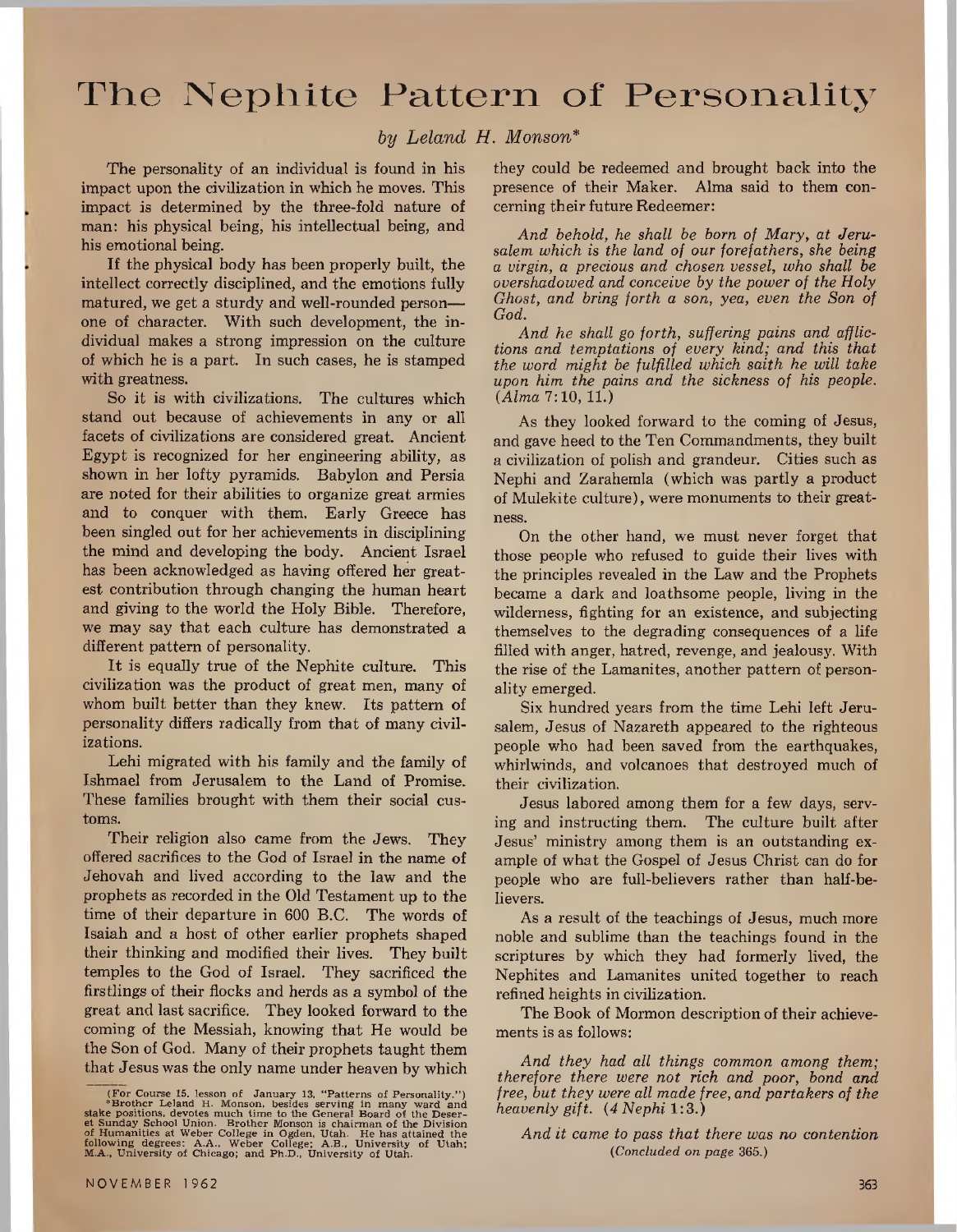## The Nephite Pattern of Personality

*by Leland H, Monson\**

The personality of an individual is found in his impact upon the civilization in which he moves. This impact is determined by the three-fold nature of man: his physical being, his intellectual being, and his emotional being.

If the physical body has been properly built, the intellect correctly disciplined, and the emotions fully matured, we get a sturdy and well-rounded person one of character. With such development, the individual makes a strong impression on the culture of which he is a part. In such cases, he is stamped with greatness.

So it is with civilizations. The cultures which stand out because of achievements in any or all facets of civilizations are considered great. Ancient Egypt is recognized for her engineering ability, as shown in her lofty pyramids. Babylon and Persia are noted for their abilities to organize great armies and to conquer with them. Early Greece has been singled out for her achievements in disciplining the mind and developing the body. Ancient Israel has been acknowledged as having offered her greatest contribution through changing the human heart and giving to the world the Holy Bible. Therefore, we may say that each culture has demonstrated a different pattern of personality.

It is equally true of the Nephite culture. This civilization was the product of great men, many of whom built better than they knew. Its pattern of personality differs radically from that of many civilizations.

Lehi migrated with his family and the family of Ishmael from Jerusalem to the Land of Promise. These families brought with them their social customs.

Their religion also came from the Jews. They offered sacrifices to the God of Israel in the name of Jehovah and lived according to the law and the prophets as recorded in the Old Testament up to the time of their departure in 600 B.C. The words of Isaiah and a host of other earlier prophets shaped their thinking and modified their lives. They built temples to the God of Israel. They sacrificed the firstlings of their flocks and herds as a symbol of the great and last sacrifice. They looked forward to the coming of the Messiah, knowing that He would be the Son of God. Many of their prophets taught them that Jesus was the only name under heaven by which

they could be redeemed and brought back into the presence of their Maker. Alma said to them concerning their future Redeemer:

*And behold, he shall be born of Mary, at Jerusalem which is the land of our forefathers, she being a virgin, a precious and chosen vessel, who shall be overshadowed and conceive by the power of the Holy Ghost, and bring forth a son, yea, even the Son of God.*

*And he shall go forth, suffering pains and afflictions and temptations of every kind; and this that the word might be fulfilled which saith he will take upon him the pains and the sickness of his people. (Alma* 7:10, 11.)

As they looked forward to the coming of Jesus, and gave heed to the Ten Commandments, they built a civilization of polish and grandeur. Cities such as Nephi and Zarahemla (which was partly a product of Mulekite culture), were monuments to their greatness.

On the other hand, we must never forget that those people who refused to guide their lives with the principles revealed in the Law and the Prophets became a dark and loathsome people, living in the wilderness, fighting for an existence, and subjecting themselves to the degrading consequences of a life filled with anger, hatred, revenge, and jealousy. With the rise of the Lamanites, another pattern of personality emerged.

Six hundred years from the time Lehi left Jerusalem, Jesus of Nazareth appeared to the righteous people who had been saved from the earthquakes, whirlwinds, and volcanoes that destroyed much of their civilization.

Jesus labored among them for a few days, serving and instructing them. The culture built after Jesus' ministry among them is an outstanding example of what the Gospel of Jesus Christ can do for people who are full-believers rather than half-believers.

As a result of the teachings of Jesus, much more noble and sublime than the teachings found in the scriptures by which they had formerly lived, the Nephites and Lamanites united together to reach refined heights in civilization.

The Book of Mormon description of their achievements is as follows:

*And they had all things common among them; therefore there were not rich and poor, bond and free, but they were all made free, and partakers of the heavenly gift. (4 Nephi* 1:3.)

<sup>(</sup>For Course 15, lesson of January 13, "Patterns of Personality.")<br>"Brother Leland H. Monson, besides serving in many ward and<br>stake positions, devotes much time to the General Board of the Deser-<br>et Sunday School Union. Br

*And it came to pass that there was no contention (Concluded on page* 365.)